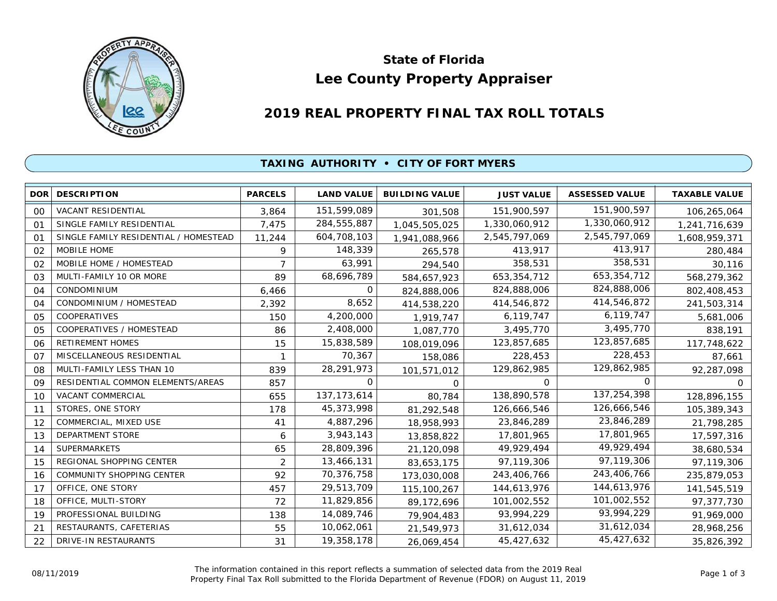

# **Lee County Property Appraiser State of Florida**

# **2019 REAL PROPERTY FINAL TAX ROLL TOTALS**

## **TAXING AUTHORITY • CITY OF FORT MYERS**

| <b>DOR</b>     | <b>DESCRIPTION</b>                    | <b>PARCELS</b> | <b>LAND VALUE</b> | <b>BUILDING VALUE</b> | <b>JUST VALUE</b> | <b>ASSESSED VALUE</b> | <b>TAXABLE VALUE</b> |
|----------------|---------------------------------------|----------------|-------------------|-----------------------|-------------------|-----------------------|----------------------|
| 00             | VACANT RESIDENTIAL                    | 3,864          | 151,599,089       | 301,508               | 151,900,597       | 151,900,597           | 106,265,064          |
| 01             | SINGLE FAMILY RESIDENTIAL             | 7,475          | 284,555,887       | 1,045,505,025         | 1,330,060,912     | 1,330,060,912         | 1,241,716,639        |
| 01             | SINGLE FAMILY RESIDENTIAL / HOMESTEAD | 11,244         | 604,708,103       | 1,941,088,966         | 2,545,797,069     | 2,545,797,069         | 1,608,959,371        |
| 02             | <b>MOBILE HOME</b>                    | 9              | 148,339           | 265,578               | 413,917           | 413,917               | 280,484              |
| 02             | MOBILE HOME / HOMESTEAD               | $\overline{7}$ | 63,991            | 294,540               | 358,531           | 358,531               | 30,116               |
| 03             | MULTI-FAMILY 10 OR MORE               | 89             | 68,696,789        | 584,657,923           | 653, 354, 712     | 653,354,712           | 568,279,362          |
| 04             | <b>CONDOMINIUM</b>                    | 6,466          | 0                 | 824,888,006           | 824,888,006       | 824,888,006           | 802,408,453          |
| 04             | CONDOMINIUM / HOMESTEAD               | 2,392          | 8,652             | 414,538,220           | 414,546,872       | 414,546,872           | 241,503,314          |
| 05             | COOPERATIVES                          | 150            | 4,200,000         | 1,919,747             | 6,119,747         | 6,119,747             | 5,681,006            |
| 05             | COOPERATIVES / HOMESTEAD              | 86             | 2,408,000         | 1,087,770             | 3,495,770         | 3,495,770             | 838,191              |
| 06             | <b>RETIREMENT HOMES</b>               | 15             | 15,838,589        | 108,019,096           | 123,857,685       | 123,857,685           | 117,748,622          |
| O <sub>7</sub> | MISCELLANEOUS RESIDENTIAL             |                | 70,367            | 158,086               | 228,453           | 228,453               | 87,661               |
| 08             | MULTI-FAMILY LESS THAN 10             | 839            | 28,291,973        | 101,571,012           | 129,862,985       | 129,862,985           | 92,287,098           |
| 09             | RESIDENTIAL COMMON ELEMENTS/AREAS     | 857            | 0                 | 0                     | 0                 | 0                     | <sup>o</sup>         |
| 10             | VACANT COMMERCIAL                     | 655            | 137, 173, 614     | 80,784                | 138,890,578       | 137,254,398           | 128,896,155          |
| 11             | STORES, ONE STORY                     | 178            | 45,373,998        | 81,292,548            | 126,666,546       | 126,666,546           | 105,389,343          |
| 12             | COMMERCIAL, MIXED USE                 | 41             | 4,887,296         | 18,958,993            | 23,846,289        | 23,846,289            | 21,798,285           |
| 13             | <b>DEPARTMENT STORE</b>               | 6              | 3,943,143         | 13,858,822            | 17,801,965        | 17,801,965            | 17,597,316           |
| 14             | <b>SUPERMARKETS</b>                   | 65             | 28,809,396        | 21,120,098            | 49,929,494        | 49,929,494            | 38,680,534           |
| 15             | REGIONAL SHOPPING CENTER              | 2              | 13,466,131        | 83,653,175            | 97,119,306        | 97,119,306            | 97,119,306           |
| 16             | <b>COMMUNITY SHOPPING CENTER</b>      | 92             | 70,376,758        | 173,030,008           | 243,406,766       | 243,406,766           | 235,879,053          |
| 17             | OFFICE, ONE STORY                     | 457            | 29,513,709        | 115,100,267           | 144,613,976       | 144,613,976           | 141,545,519          |
| 18             | OFFICE, MULTI-STORY                   | 72             | 11,829,856        | 89,172,696            | 101,002,552       | 101,002,552           | 97,377,730           |
| 19             | PROFESSIONAL BUILDING                 | 138            | 14,089,746        | 79,904,483            | 93,994,229        | 93,994,229            | 91,969,000           |
| 21             | RESTAURANTS, CAFETERIAS               | 55             | 10,062,061        | 21,549,973            | 31,612,034        | 31,612,034            | 28,968,256           |
| 22             | DRIVE-IN RESTAURANTS                  | 31             | 19,358,178        | 26,069,454            | 45,427,632        | 45,427,632            | 35,826,392           |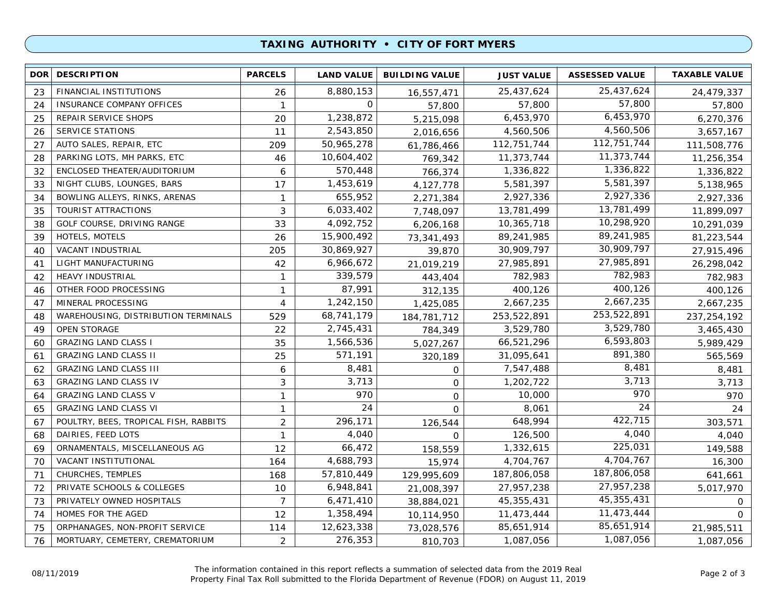### **TAXING AUTHORITY • CITY OF FORT MYERS**

| <b>DOR</b> | <b>DESCRIPTION</b>                    | <b>PARCELS</b> | <b>LAND VALUE</b> | <b>BUILDING VALUE</b> | <b>JUST VALUE</b> | <b>ASSESSED VALUE</b> | <b>TAXABLE VALUE</b> |
|------------|---------------------------------------|----------------|-------------------|-----------------------|-------------------|-----------------------|----------------------|
| 23         | FINANCIAL INSTITUTIONS                | 26             | 8,880,153         | 16,557,471            | 25,437,624        | 25,437,624            | 24,479,337           |
| 24         | INSURANCE COMPANY OFFICES             | $\mathbf{1}$   | $\mathbf 0$       | 57,800                | 57,800            | 57,800                | 57,800               |
| 25         | REPAIR SERVICE SHOPS                  | 20             | 1,238,872         | 5,215,098             | 6,453,970         | 6,453,970             | 6,270,376            |
| 26         | <b>SERVICE STATIONS</b>               | 11             | 2,543,850         | 2,016,656             | 4,560,506         | 4,560,506             | 3,657,167            |
| 27         | AUTO SALES, REPAIR, ETC               | 209            | 50,965,278        | 61,786,466            | 112,751,744       | 112,751,744           | 111,508,776          |
| 28         | PARKING LOTS, MH PARKS, ETC           | 46             | 10,604,402        | 769,342               | 11,373,744        | 11,373,744            | 11,256,354           |
| 32         | ENCLOSED THEATER/AUDITORIUM           | 6              | 570,448           | 766,374               | 1,336,822         | 1,336,822             | 1,336,822            |
| 33         | NIGHT CLUBS, LOUNGES, BARS            | 17             | 1,453,619         | 4,127,778             | 5,581,397         | 5,581,397             | 5,138,965            |
| 34         | BOWLING ALLEYS, RINKS, ARENAS         | $\mathbf{1}$   | 655,952           | 2,271,384             | 2,927,336         | 2,927,336             | 2,927,336            |
| 35         | TOURIST ATTRACTIONS                   | $\mathfrak{Z}$ | 6,033,402         | 7,748,097             | 13,781,499        | 13,781,499            | 11,899,097           |
| 38         | GOLF COURSE, DRIVING RANGE            | 33             | 4,092,752         | 6,206,168             | 10,365,718        | 10,298,920            | 10,291,039           |
| 39         | HOTELS, MOTELS                        | 26             | 15,900,492        | 73,341,493            | 89,241,985        | 89,241,985            | 81,223,544           |
| 40         | VACANT INDUSTRIAL                     | 205            | 30,869,927        | 39,870                | 30,909,797        | 30,909,797            | 27,915,496           |
| 41         | LIGHT MANUFACTURING                   | 42             | 6,966,672         | 21,019,219            | 27,985,891        | 27,985,891            | 26,298,042           |
| 42         | <b>HEAVY INDUSTRIAL</b>               | $\mathbf{1}$   | 339,579           | 443,404               | 782,983           | 782,983               | 782,983              |
| 46         | OTHER FOOD PROCESSING                 | $\mathbf{1}$   | 87,991            | 312,135               | 400,126           | 400,126               | 400,126              |
| 47         | MINERAL PROCESSING                    | 4              | 1,242,150         | 1,425,085             | 2,667,235         | 2,667,235             | 2,667,235            |
| 48         | WAREHOUSING, DISTRIBUTION TERMINALS   | 529            | 68,741,179        | 184,781,712           | 253,522,891       | 253,522,891           | 237, 254, 192        |
| 49         | <b>OPEN STORAGE</b>                   | 22             | 2,745,431         | 784,349               | 3,529,780         | 3,529,780             | 3,465,430            |
| 60         | <b>GRAZING LAND CLASS I</b>           | 35             | 1,566,536         | 5,027,267             | 66,521,296        | 6,593,803             | 5,989,429            |
| 61         | <b>GRAZING LAND CLASS II</b>          | 25             | 571,191           | 320,189               | 31,095,641        | 891,380               | 565,569              |
| 62         | <b>GRAZING LAND CLASS III</b>         | 6              | 8,481             | 0                     | 7,547,488         | 8,481                 | 8,481                |
| 63         | <b>GRAZING LAND CLASS IV</b>          | 3              | 3,713             | $\mathbf 0$           | 1,202,722         | 3,713                 | 3,713                |
| 64         | <b>GRAZING LAND CLASS V</b>           | $\mathbf{1}$   | 970               | $\mathbf 0$           | 10,000            | 970                   | 970                  |
| 65         | <b>GRAZING LAND CLASS VI</b>          | $\mathbf{1}$   | 24                | $\Omega$              | 8,061             | 24                    | 24                   |
| 67         | POULTRY, BEES, TROPICAL FISH, RABBITS | $\overline{2}$ | 296,171           | 126,544               | 648,994           | 422,715               | 303,571              |
| 68         | DAIRIES, FEED LOTS                    | $\mathbf{1}$   | 4,040             | $\Omega$              | 126,500           | 4,040                 | 4,040                |
| 69         | ORNAMENTALS, MISCELLANEOUS AG         | 12             | 66,472            | 158,559               | 1,332,615         | 225,031               | 149,588              |
| 70         | VACANT INSTITUTIONAL                  | 164            | 4,688,793         | 15,974                | 4,704,767         | 4,704,767             | 16,300               |
| 71         | CHURCHES, TEMPLES                     | 168            | 57,810,449        | 129,995,609           | 187,806,058       | 187,806,058           | 641,661              |
| 72         | PRIVATE SCHOOLS & COLLEGES            | 10             | 6,948,841         | 21,008,397            | 27,957,238        | 27,957,238            | 5,017,970            |
| 73         | PRIVATELY OWNED HOSPITALS             | $\overline{7}$ | 6,471,410         | 38,884,021            | 45,355,431        | 45,355,431            | 0                    |
| 74         | HOMES FOR THE AGED                    | 12             | 1,358,494         | 10,114,950            | 11,473,444        | 11,473,444            | $\Omega$             |
| 75         | ORPHANAGES, NON-PROFIT SERVICE        | 114            | 12,623,338        | 73,028,576            | 85,651,914        | 85,651,914            | 21,985,511           |
| 76         | MORTUARY, CEMETERY, CREMATORIUM       | 2              | 276,353           | 810,703               | 1,087,056         | 1,087,056             | 1,087,056            |